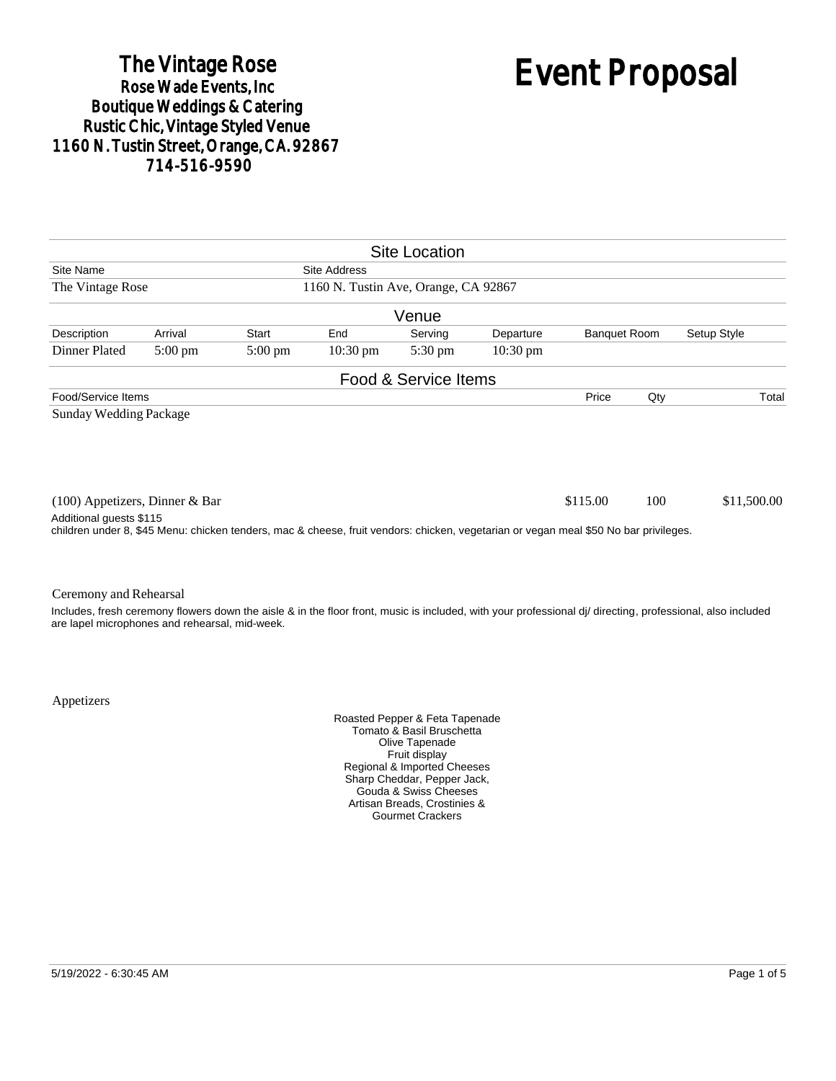# The Vintage Rose<br>Rose Wade Events, Inc. Boutique Weddings & Catering<br>Rustic Chic, Vintage Styled Venue 1160 N. Tustin Street, Orange, CA. 92867 714-516-9590

# Event Proposal

|                                                                                                                                                                 |                   |                   |                    | <b>Site Location</b> |                    |                     |     |                                                                                                                                                            |  |
|-----------------------------------------------------------------------------------------------------------------------------------------------------------------|-------------------|-------------------|--------------------|----------------------|--------------------|---------------------|-----|------------------------------------------------------------------------------------------------------------------------------------------------------------|--|
| Site Name<br><b>Site Address</b>                                                                                                                                |                   |                   |                    |                      |                    |                     |     |                                                                                                                                                            |  |
| 1160 N. Tustin Ave, Orange, CA 92867<br>The Vintage Rose                                                                                                        |                   |                   |                    |                      |                    |                     |     |                                                                                                                                                            |  |
|                                                                                                                                                                 |                   |                   |                    | Venue                |                    |                     |     |                                                                                                                                                            |  |
| Description                                                                                                                                                     | Arrival           | Start             | End                | Serving              | Departure          | <b>Banquet Room</b> |     | Setup Style                                                                                                                                                |  |
| Dinner Plated                                                                                                                                                   | $5:00 \text{ pm}$ | $5:00 \text{ pm}$ | $10:30 \text{ pm}$ | $5:30 \text{ pm}$    | $10:30 \text{ pm}$ |                     |     |                                                                                                                                                            |  |
|                                                                                                                                                                 |                   |                   |                    | Food & Service Items |                    |                     |     |                                                                                                                                                            |  |
| Food/Service Items                                                                                                                                              |                   |                   |                    |                      |                    | Price               | Qty | Total                                                                                                                                                      |  |
| $(100)$ Appetizers, Dinner & Bar                                                                                                                                |                   |                   |                    |                      |                    | \$115.00            | 100 | \$11,500.00                                                                                                                                                |  |
| Additional guests \$115<br>children under 8, \$45 Menu: chicken tenders, mac & cheese, fruit vendors: chicken, vegetarian or vegan meal \$50 No bar privileges. |                   |                   |                    |                      |                    |                     |     |                                                                                                                                                            |  |
| Ceremony and Rehearsal                                                                                                                                          |                   |                   |                    |                      |                    |                     |     |                                                                                                                                                            |  |
| are lapel microphones and rehearsal, mid-week.                                                                                                                  |                   |                   |                    |                      |                    |                     |     | Includes, fresh ceremony flowers down the aisle & in the floor front, music is included, with your professional dj/ directing, professional, also included |  |

Appetizers

Roasted Pepper & Feta Tapenade Tomato & Basil Bruschetta Olive Tapenade Fruit display Regional & Imported Cheeses Sharp Cheddar, Pepper Jack, Gouda & Swiss Cheeses Artisan Breads, Crostinies & Gourmet Crackers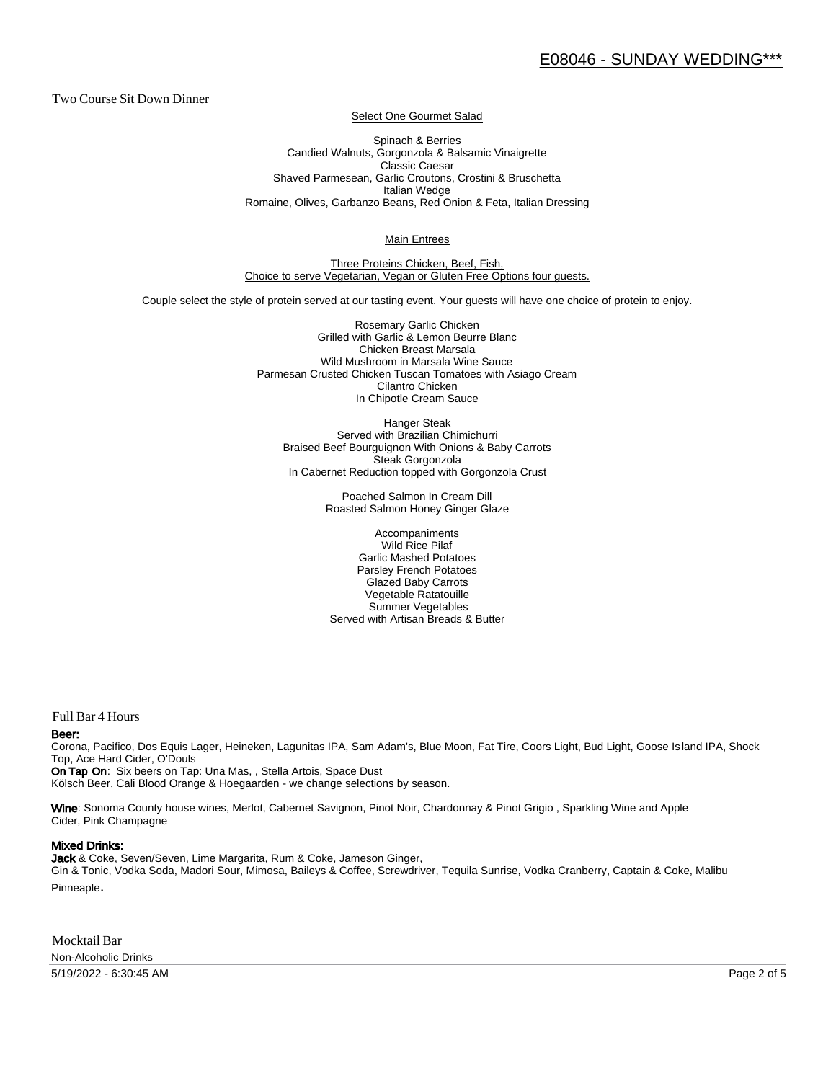Two Course Sit Down Dinner

Select One Gourmet Salad

Spinach & Berries Candied Walnuts, Gorgonzola & Balsamic Vinaigrette Classic Caesar Shaved Parmesean, Garlic Croutons, Crostini & Bruschetta Italian Wedge Romaine, Olives, Garbanzo Beans, Red Onion & Feta, Italian Dressing

Main Entrees

Three Proteins Chicken, Beef, Fish, Choice to serve Vegetarian, Vegan or Gluten Free Options four guests.

Couple select the style of protein served at our tasting event. Your guests will have one choice of protein to enjoy.

Rosemary Garlic Chicken Grilled with Garlic & Lemon Beurre Blanc Chicken Breast Marsala Wild Mushroom in Marsala Wine Sauce Parmesan Crusted Chicken Tuscan Tomatoes with Asiago Cream Cilantro Chicken In Chipotle Cream Sauce

Hanger Steak Served with Brazilian Chimichurri Braised Beef Bourguignon With Onions & Baby Carrots Steak Gorgonzola In Cabernet Reduction topped with Gorgonzola Crust

> Poached Salmon In Cream Dill Roasted Salmon Honey Ginger Glaze

Accompaniments Wild Rice Pilaf Garlic Mashed Potatoes Parsley French Potatoes Glazed Baby Carrots Vegetable Ratatouille Summer Vegetables Served with Artisan Breads & Butter

Full Bar 4 Hours

#### Beer:

Corona, Pacifico, Dos Equis Lager, Heineken, Lagunitas IPA, Sam Adam's, Blue Moon, Fat Tire, Coors Light, Bud Light, Goose Is land IPA, Shock Top, Ace Hard Cider, O'Douls

On Tap On: Six beers on Tap: Una Mas, , Stella Artois, Space Dust Kölsch Beer, Cali Blood Orange & Hoegaarden - we change selections by season.

Wine: Sonoma County house wines, Merlot, Cabernet Savignon, Pinot Noir, Chardonnay & Pinot Grigio, Sparkling Wine and Apple Cider, Pink Champagne

#### Mixed Drinks:

Jack & Coke, Seven/Seven, Lime Margarita, Rum & Coke, Jameson Ginger, Gin & Tonic, Vodka Soda, Madori Sour, Mimosa, Baileys & Coffee, Screwdriver, Tequila Sunrise, Vodka Cranberry, Captain & Coke, Malibu Pinneaple.

Mocktail Bar Non-Alcoholic Drinks

5/19/2022 - 6:30:45 AM Page 2 of 5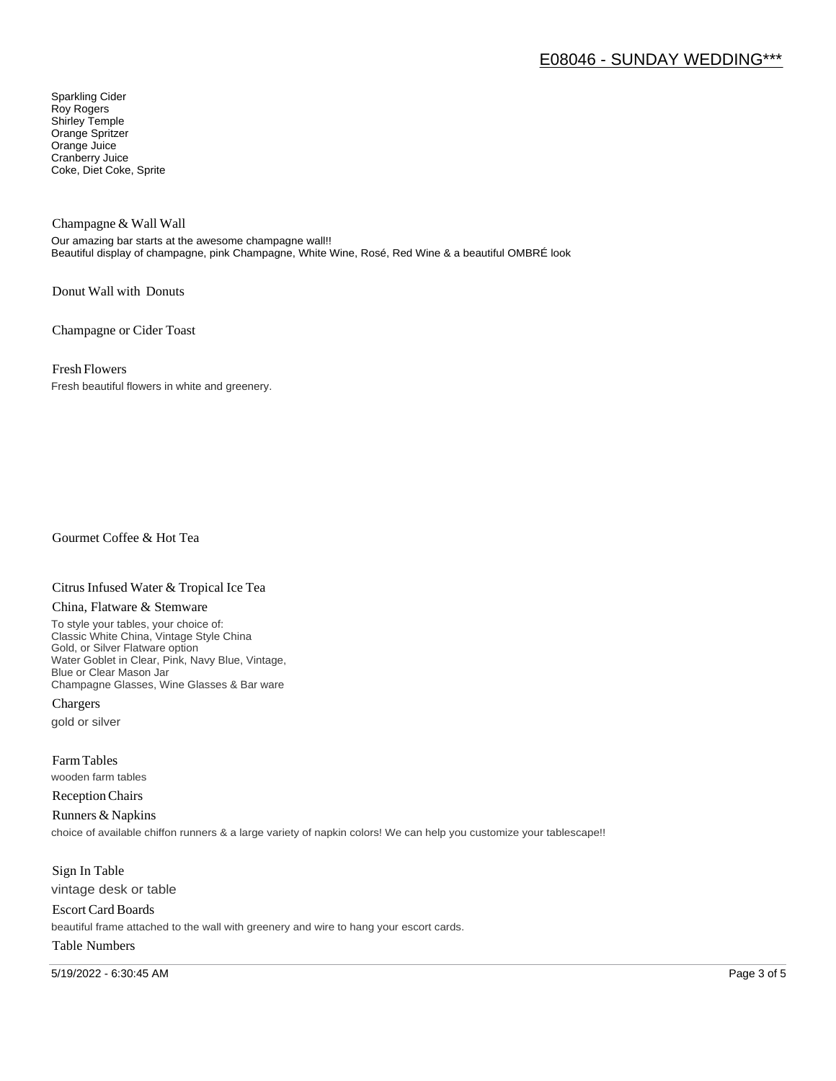# E08046 - SUNDAY WEDDING\*\*\*

Sparkling Cider Roy Rogers Shirley Temple Orange Spritzer Orange Juice Cranberry Juice Coke, Diet Coke, Sprite

Champagne & Wall Wall

Our amazing bar starts at the awesome champagne wall!! Beautiful display of champagne, pink Champagne, White Wine, Rosé, Red Wine & a beautiful OMBRÉ look

Donut Wall with Donuts

Champagne or Cider Toast

Fresh Flowers

Fresh beautiful flowers in white and greenery.

Gourmet Coffee & Hot Tea

#### Citrus Infused Water & Tropical Ice Tea

#### China, Flatware & Stemware

To style your tables, your choice of: Classic White China, Vintage Style China Gold, or Silver Flatware option Water Goblet in Clear, Pink, Navy Blue, Vintage, Blue or Clear Mason Jar Champagne Glasses, Wine Glasses & Bar ware

Chargers gold or silver

Farm Tables wooden farm tables

Reception Chairs

Runners & Napkins choice of available chiffon runners & a large variety of napkin colors! We can help you customize your tablescape!!

Sign In Table vintage desk or table

Escort Card Boards beautiful frame attached to the wall with greenery and wire to hang your escort cards.

### Table Numbers

5/19/2022 - 6:30:45 AM Page 3 of 5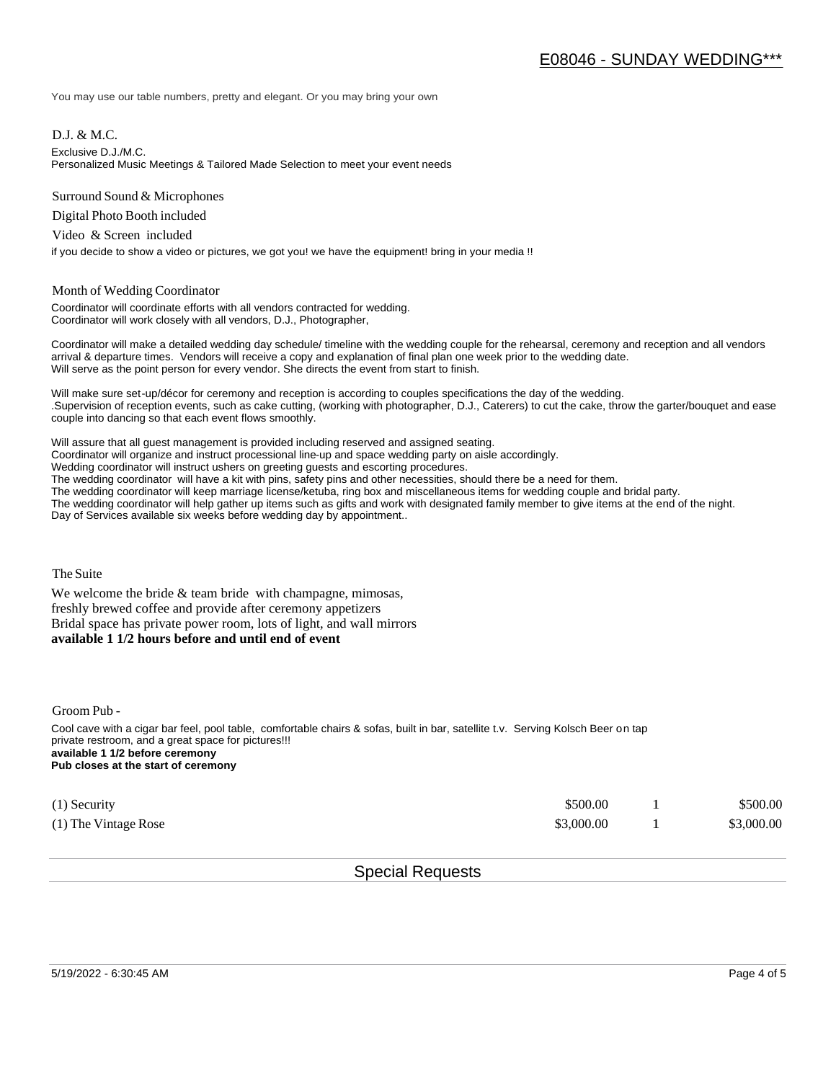You may use our table numbers, pretty and elegant. Or you may bring your own

D.J. & M.C.

Exclusive D.J./M.C.

Personalized Music Meetings & Tailored Made Selection to meet your event needs

Surround Sound & Microphones

Digital Photo Booth included

Video & Screen included

if you decide to show a video or pictures, we got you! we have the equipment! bring in your media !!

#### Month of Wedding Coordinator

Coordinator will coordinate efforts with all vendors contracted for wedding. Coordinator will work closely with all vendors, D.J., Photographer,

Coordinator will make a detailed wedding day schedule/ timeline with the wedding couple for the rehearsal, ceremony and reception and all vendors arrival & departure times. Vendors will receive a copy and explanation of final plan one week prior to the wedding date. Will serve as the point person for every vendor. She directs the event from start to finish.

Will make sure set-up/décor for ceremony and reception is according to couples specifications the day of the wedding. .Supervision of reception events, such as cake cutting, (working with photographer, D.J., Caterers) to cut the cake, throw the garter/bouquet and ease couple into dancing so that each event flows smoothly.

Will assure that all guest management is provided including reserved and assigned seating. Coordinator will organize and instruct processional line-up and space wedding party on aisle accordingly. Wedding coordinator will instruct ushers on greeting guests and escorting procedures. The wedding coordinator will have a kit with pins, safety pins and other necessities, should there be a need for them. The wedding coordinator will keep marriage license/ketuba, ring box and miscellaneous items for wedding couple and bridal party. The wedding coordinator will help gather up items such as gifts and work with designated family member to give items at the end of the night. Day of Services available six weeks before wedding day by appointment..

The Suite

We welcome the bride  $&$  team bride with champagne, mimosas, freshly brewed coffee and provide after ceremony appetizers Bridal space has private power room, lots of light, and wall mirrors **available 1 1/2 hours before and until end of event** 

Groom Pub -

Cool cave with a cigar bar feel, pool table, comfortable chairs & sofas, built in bar, satellite t.v. Serving Kolsch Beer on tap private restroom, and a great space for pictures!!! **available 1 1/2 before ceremony Pub closes at the start of ceremony**

| $(1)$ Security       | \$500.00   | \$500.00   |
|----------------------|------------|------------|
| (1) The Vintage Rose | \$3,000.00 | \$3,000.00 |

## Special Requests